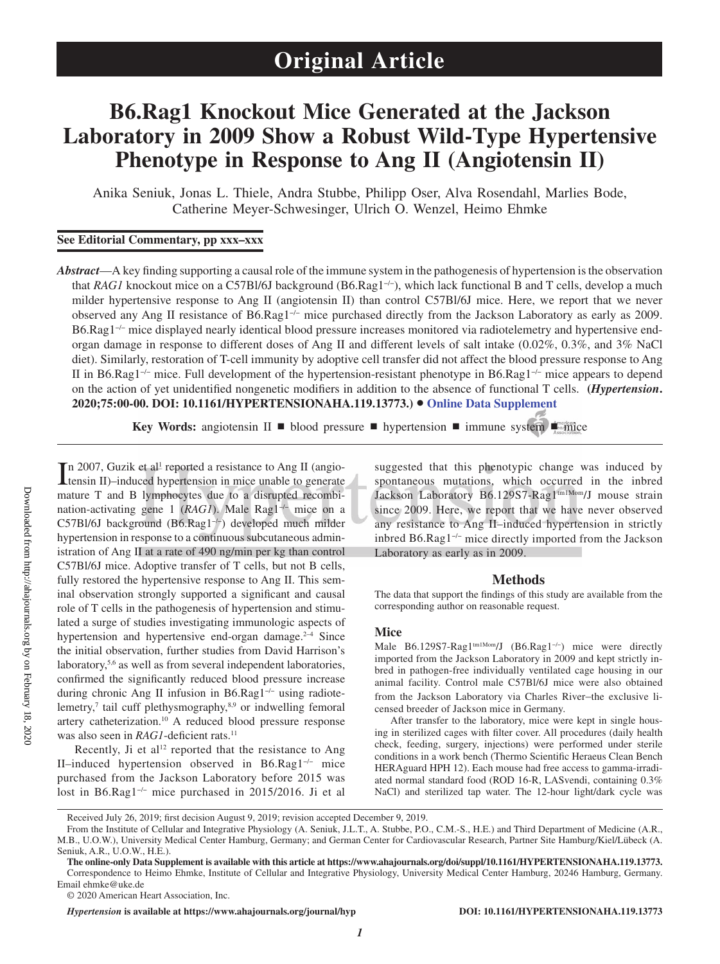# **B6.Rag1 Knockout Mice Generated at the Jackson Laboratory in 2009 Show a Robust Wild-Type Hypertensive Phenotype in Response to Ang II (Angiotensin II)**

Anika Seniuk, Jonas L. Thiele, Andra Stubbe, Philipp Oser, Alva Rosendahl, Marlies Bode, Catherine Meyer-Schwesinger, Ulrich O. Wenzel, Heimo Ehmke

## **See Editorial Commentary, pp xxx–xxx**

*Abstract*—A key finding supporting a causal role of the immune system in the pathogenesis of hypertension is the observation that *RAG1* knockout mice on a C57Bl/6J background (B6.Rag1<sup>-/-</sup>), which lack functional B and T cells, develop a much milder hypertensive response to Ang II (angiotensin II) than control C57Bl/6J mice. Here, we report that we never observed any Ang II resistance of B6.Rag1−/− mice purchased directly from the Jackson Laboratory as early as 2009. B6.Rag1<sup>-/-</sup> mice displayed nearly identical blood pressure increases monitored via radiotelemetry and hypertensive endorgan damage in response to different doses of Ang II and different levels of salt intake (0.02%, 0.3%, and 3% NaCl diet). Similarly, restoration of T-cell immunity by adoptive cell transfer did not affect the blood pressure response to Ang II in B6.Rag1−/− mice. Full development of the hypertension-resistant phenotype in B6.Rag1−/− mice appears to depend on the action of yet unidentified nongenetic modifiers in addition to the absence of functional T cells. **(***Hypertension***. 2020;75:00-00. DOI: 10.1161/HYPERTENSIONAHA.119.13773.)**• **Online Data Supplement**

**Key Words:** angiotensin II ■ blood pressure ■ hypertension ■ immune system ■ mice

In 2007, Guzik et al<sup>1</sup> reported a resistance to Ang II (angio-<br>tensin II)-induced hypertension in mice unable to generate tensin II)–induced hypertension in mice unable to generate mature T and B lymphocytes due to a disrupted recombination-activating gene 1 (*RAG1*). Male Rag1−/− mice on a C57Bl/6J background (B6.Rag1−/−) developed much milder hypertension in response to a continuous subcutaneous administration of Ang II at a rate of 490 ng/min per kg than control C57Bl/6J mice. Adoptive transfer of T cells, but not B cells, fully restored the hypertensive response to Ang II. This seminal observation strongly supported a significant and causal role of T cells in the pathogenesis of hypertension and stimulated a surge of studies investigating immunologic aspects of hypertension and hypertensive end-organ damage.<sup>2-4</sup> Since the initial observation, further studies from David Harrison's laboratory,<sup>5,6</sup> as well as from several independent laboratories, confirmed the significantly reduced blood pressure increase during chronic Ang II infusion in B6.Rag1−/− using radiotelemetry, $\frac{7}{7}$  tail cuff plethysmography, $\frac{8}{9}$  or indwelling femoral artery catheterization.10 A reduced blood pressure response was also seen in *RAG1*-deficient rats.<sup>11</sup>

Recently, Ji et al<sup>12</sup> reported that the resistance to Ang II–induced hypertension observed in B6.Rag1−/− mice purchased from the Jackson Laboratory before 2015 was lost in B6.Rag1−/− mice purchased in 2015/2016. Ji et al

suggested that this phenotypic change was induced by spontaneous mutations, which occurred in the inbred Jackson Laboratory B6.129S7-Rag1tm1Mom/J mouse strain since 2009. Here, we report that we have never observed any resistance to Ang II–induced hypertension in strictly inbred B6.Rag1−/− mice directly imported from the Jackson Laboratory as early as in 2009.

## **Methods**

The data that support the findings of this study are available from the corresponding author on reasonable request.

#### **Mice**

Male B6.129S7-Rag1<sup>tm1Mom</sup>/J (B6.Rag1<sup>-/-</sup>) mice were directly imported from the Jackson Laboratory in 2009 and kept strictly inbred in pathogen-free individually ventilated cage housing in our animal facility. Control male C57Bl/6J mice were also obtained from the Jackson Laboratory via Charles River–the exclusive licensed breeder of Jackson mice in Germany.

After transfer to the laboratory, mice were kept in single housing in sterilized cages with filter cover. All procedures (daily health check, feeding, surgery, injections) were performed under sterile conditions in a work bench (Thermo Scientific Heraeus Clean Bench HERAguard HPH 12). Each mouse had free access to gamma-irradiated normal standard food (ROD 16-R, LASvendi, containing 0.3% NaCl) and sterilized tap water. The 12-hour light/dark cycle was

© 2020 American Heart Association, Inc.

*Hypertension* **is available at https://www.ahajournals.org/journal/hyp DOI: 10.1161/HYPERTENSIONAHA.119.13773**

Received July 26, 2019; first decision August 9, 2019; revision accepted December 9, 2019.

From the Institute of Cellular and Integrative Physiology (A. Seniuk, J.L.T., A. Stubbe, P.O., C.M.-S., H.E.) and Third Department of Medicine (A.R., M.B., U.O.W.), University Medical Center Hamburg, Germany; and German Center for Cardiovascular Research, Partner Site Hamburg/Kiel/Lübeck (A. Seniuk, A.R., U.O.W., H.E.).

**The online-only Data Supplement is available with this article at https://www.ahajournals.org/doi/suppl/10.1161/HYPERTENSIONAHA.119.13773.** Correspondence to Heimo Ehmke, Institute of Cellular and Integrative Physiology, University Medical Center Hamburg, 20246 Hamburg, Germany. Email [ehmke@uke.de](mailto:ehmke@uke.de)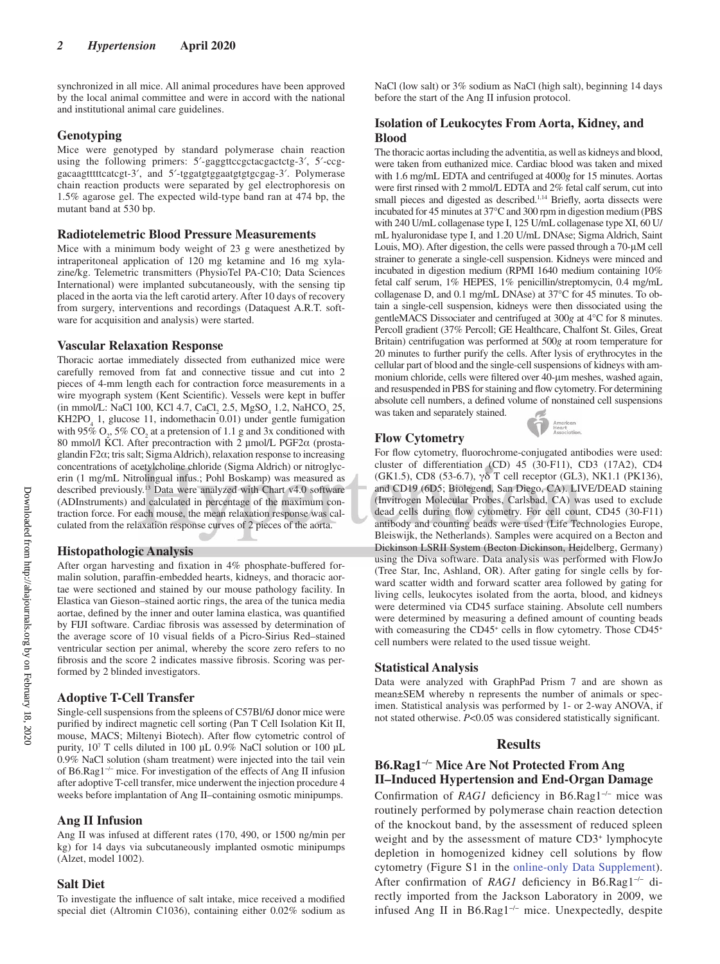synchronized in all mice. All animal procedures have been approved by the local animal committee and were in accord with the national and institutional animal care guidelines.

## **Genotyping**

Mice were genotyped by standard polymerase chain reaction using the following primers: 5'-gaggttccgctacgactctg-3', 5'-ccggacaagtttttcatcgt-3′, and 5′-tggatgtggaatgtgtgcgag-3′. Polymerase chain reaction products were separated by gel electrophoresis on 1.5% agarose gel. The expected wild-type band ran at 474 bp, the mutant band at 530 bp.

## **Radiotelemetric Blood Pressure Measurements**

Mice with a minimum body weight of 23 g were anesthetized by intraperitoneal application of 120 mg ketamine and 16 mg xylazine/kg. Telemetric transmitters (PhysioTel PA-C10; Data Sciences International) were implanted subcutaneously, with the sensing tip placed in the aorta via the left carotid artery. After 10 days of recovery from surgery, interventions and recordings (Dataquest A.R.T. software for acquisition and analysis) were started.

## **Vascular Relaxation Response**

Thoracic aortae immediately dissected from euthanized mice were carefully removed from fat and connective tissue and cut into 2 pieces of 4-mm length each for contraction force measurements in a wire myograph system (Kent Scientific). Vessels were kept in buffer (in mmol/L: NaCl 100, KCl 4.7, CaCl<sub>2</sub> 2.5, MgSO<sub>4</sub> 1.2, NaHCO<sub>3</sub> 25,  $KH2PO<sub>4</sub>$  1, glucose 11, indomethacin 0.01) under gentle fumigation with 95%  $O_2$ , 5%  $CO_2$  at a pretension of 1.1 g and 3x conditioned with 80 mmol/l KCl. After precontraction with 2 µmol/L PGF2α (prostaglandin F2α; tris salt; Sigma Aldrich), relaxation response to increasing concentrations of acetylcholine chloride (Sigma Aldrich) or nitroglycerin (1 mg/mL Nitrolingual infus.; Pohl Boskamp) was measured as described previously.13 Data were analyzed with Chart v4.0 software (ADInstruments) and calculated in percentage of the maximum contraction force. For each mouse, the mean relaxation response was calculated from the relaxation response curves of 2 pieces of the aorta.

## **Histopathologic Analysis**

After organ harvesting and fixation in 4% phosphate-buffered formalin solution, paraffin-embedded hearts, kidneys, and thoracic aortae were sectioned and stained by our mouse pathology facility. In Elastica van Gieson–stained aortic rings, the area of the tunica media aortae, defined by the inner and outer lamina elastica, was quantified by FIJI software. Cardiac fibrosis was assessed by determination of the average score of 10 visual fields of a Picro-Sirius Red–stained ventricular section per animal, whereby the score zero refers to no fibrosis and the score 2 indicates massive fibrosis. Scoring was performed by 2 blinded investigators.

## **Adoptive T-Cell Transfer**

Single-cell suspensions from the spleens of C57Bl/6J donor mice were purified by indirect magnetic cell sorting (Pan T Cell Isolation Kit II, mouse, MACS; Miltenyi Biotech). After flow cytometric control of purity,  $10^7$  T cells diluted in 100 µL 0.9% NaCl solution or 100 µL 0.9% NaCl solution (sham treatment) were injected into the tail vein of B6.Rag1−/− mice. For investigation of the effects of Ang II infusion after adoptive T-cell transfer, mice underwent the injection procedure 4 weeks before implantation of Ang II–containing osmotic minipumps.

#### **Ang II Infusion**

Ang II was infused at different rates (170, 490, or 1500 ng/min per kg) for 14 days via subcutaneously implanted osmotic minipumps (Alzet, model 1002).

#### **Salt Diet**

To investigate the influence of salt intake, mice received a modified special diet (Altromin C1036), containing either 0.02% sodium as NaCl (low salt) or 3% sodium as NaCl (high salt), beginning 14 days before the start of the Ang II infusion protocol.

## **Isolation of Leukocytes From Aorta, Kidney, and Blood**

The thoracic aortas including the adventitia, as well as kidneys and blood, were taken from euthanized mice. Cardiac blood was taken and mixed with 1.6 mg/mL EDTA and centrifuged at 4000*g* for 15 minutes. Aortas were first rinsed with 2 mmol/L EDTA and 2% fetal calf serum, cut into small pieces and digested as described.<sup>1,14</sup> Briefly, aorta dissects were incubated for 45 minutes at 37°C and 300 rpm in digestion medium (PBS with 240 U/mL collagenase type I, 125 U/mL collagenase type XI, 60 U/ mL hyaluronidase type I, and 1.20 U/mL DNAse; Sigma Aldrich, Saint Louis, MO). After digestion, the cells were passed through a 70-μM cell strainer to generate a single-cell suspension. Kidneys were minced and incubated in digestion medium (RPMI 1640 medium containing 10% fetal calf serum, 1% HEPES, 1% penicillin/streptomycin, 0.4 mg/mL collagenase D, and 0.1 mg/mL DNAse) at 37°C for 45 minutes. To obtain a single-cell suspension, kidneys were then dissociated using the gentleMACS Dissociater and centrifuged at 300*g* at 4°C for 8 minutes. Percoll gradient (37% Percoll; GE Healthcare, Chalfont St. Giles, Great Britain) centrifugation was performed at 500*g* at room temperature for 20 minutes to further purify the cells. After lysis of erythrocytes in the cellular part of blood and the single-cell suspensions of kidneys with ammonium chloride, cells were filtered over 40-μm meshes, washed again, and resuspended in PBS for staining and flow cytometry. For determining absolute cell numbers, a defined volume of nonstained cell suspensions was taken and separately stained.

## **Flow Cytometry**

For flow cytometry, fluorochrome-conjugated antibodies were used: cluster of differentiation (CD) 45 (30-F11), CD3 (17A2), CD4 (GK1.5), CD8 (53-6.7), γδ T cell receptor (GL3), NK1.1 (PK136), and CD19 (6D5; Biolegend, San Diego, CA). LIVE/DEAD staining (Invitrogen Molecular Probes, Carlsbad, CA) was used to exclude dead cells during flow cytometry. For cell count, CD45 (30-F11) antibody and counting beads were used (Life Technologies Europe, Bleiswijk, the Netherlands). Samples were acquired on a Becton and Dickinson LSRII System (Becton Dickinson, Heidelberg, Germany) using the Diva software. Data analysis was performed with FlowJo (Tree Star, Inc, Ashland, OR). After gating for single cells by forward scatter width and forward scatter area followed by gating for living cells, leukocytes isolated from the aorta, blood, and kidneys were determined via CD45 surface staining. Absolute cell numbers were determined by measuring a defined amount of counting beads with comeasuring the CD45<sup>+</sup> cells in flow cytometry. Those CD45<sup>+</sup> cell numbers were related to the used tissue weight.

American<br>Heart<br>Association.

#### **Statistical Analysis**

Data were analyzed with GraphPad Prism 7 and are shown as mean±SEM whereby n represents the number of animals or specimen. Statistical analysis was performed by 1- or 2-way ANOVA, if not stated otherwise. *P*<0.05 was considered statistically significant.

#### **Results**

## **B6.Rag1−/− Mice Are Not Protected From Ang II–Induced Hypertension and End-Organ Damage**

Confirmation of *RAG1* deficiency in B6.Rag1−/− mice was routinely performed by polymerase chain reaction detection of the knockout band, by the assessment of reduced spleen weight and by the assessment of mature CD3<sup>+</sup> lymphocyte depletion in homogenized kidney cell solutions by flow cytometry (Figure S1 in the online-only Data Supplement). After confirmation of *RAG1* deficiency in B6.Rag1−/− directly imported from the Jackson Laboratory in 2009, we infused Ang II in B6.Rag1−/− mice. Unexpectedly, despite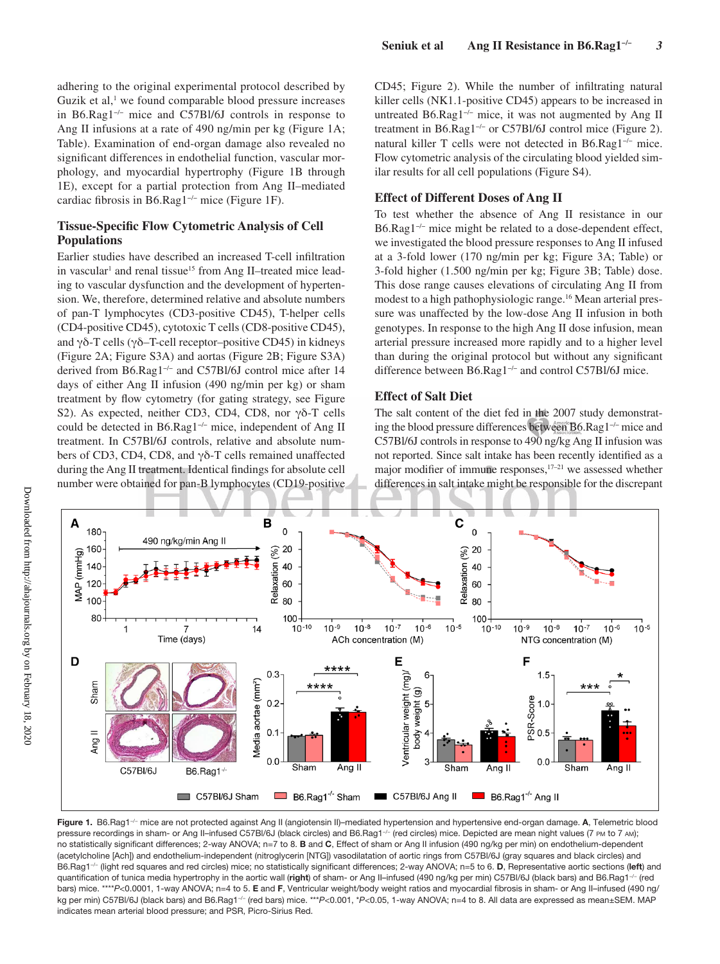adhering to the original experimental protocol described by Guzik et al, $<sup>1</sup>$  we found comparable blood pressure increases</sup> in B6.Rag1−/− mice and C57Bl/6J controls in response to Ang II infusions at a rate of 490 ng/min per kg (Figure 1A; Table). Examination of end-organ damage also revealed no significant differences in endothelial function, vascular morphology, and myocardial hypertrophy (Figure 1B through 1E), except for a partial protection from Ang II–mediated cardiac fibrosis in B6.Rag1−/− mice (Figure 1F).

## **Tissue-Specific Flow Cytometric Analysis of Cell Populations**

Earlier studies have described an increased T-cell infiltration in vascular<sup>1</sup> and renal tissue<sup>15</sup> from Ang II-treated mice leading to vascular dysfunction and the development of hypertension. We, therefore, determined relative and absolute numbers of pan-T lymphocytes (CD3-positive CD45), T-helper cells (CD4-positive CD45), cytotoxic T cells (CD8-positive CD45), and γδ-T cells (γδ–T-cell receptor–positive CD45) in kidneys (Figure 2A; Figure S3A) and aortas (Figure 2B; Figure S3A) derived from B6.Rag1−/− and C57Bl/6J control mice after 14 days of either Ang II infusion (490 ng/min per kg) or sham treatment by flow cytometry (for gating strategy, see Figure S2). As expected, neither CD3, CD4, CD8, nor γδ-T cells could be detected in B6.Rag1−/− mice, independent of Ang II treatment. In C57Bl/6J controls, relative and absolute numbers of CD3, CD4, CD8, and γδ-T cells remained unaffected during the Ang II treatment. Identical findings for absolute cell number were obtained for pan-B lymphocytes (CD19-positive CD45; Figure 2). While the number of infiltrating natural killer cells (NK1.1-positive CD45) appears to be increased in untreated B6.Rag1−/− mice, it was not augmented by Ang II treatment in B6.Rag1−/− or C57Bl/6J control mice (Figure 2). natural killer T cells were not detected in B6.Rag1−/− mice. Flow cytometric analysis of the circulating blood yielded similar results for all cell populations (Figure S4).

## **Effect of Different Doses of Ang II**

To test whether the absence of Ang II resistance in our B6.Rag1<sup>-/−</sup> mice might be related to a dose-dependent effect, we investigated the blood pressure responses to Ang II infused at a 3-fold lower (170 ng/min per kg; Figure 3A; Table) or 3-fold higher (1.500 ng/min per kg; Figure 3B; Table) dose. This dose range causes elevations of circulating Ang II from modest to a high pathophysiologic range.<sup>16</sup> Mean arterial pressure was unaffected by the low-dose Ang II infusion in both genotypes. In response to the high Ang II dose infusion, mean arterial pressure increased more rapidly and to a higher level than during the original protocol but without any significant difference between B6.Rag1−/− and control C57Bl/6J mice.

## **Effect of Salt Diet**

The salt content of the diet fed in the 2007 study demonstrating the blood pressure differences between B6.Rag1−/− mice and C57Bl/6J controls in response to 490 ng/kg Ang II infusion was not reported. Since salt intake has been recently identified as a major modifier of immune responses, $17-21$  we assessed whether differences in salt intake might be responsible for the discrepant



**Figure 1.** B6.Rag1−/− mice are not protected against Ang II (angiotensin II)–mediated hypertension and hypertensive end-organ damage. **A**, Telemetric blood pressure recordings in sham- or Ang II–infused C57Bl/6J (black circles) and B6.Rag1-/- (red circles) mice. Depicted are mean night values (7 PM to 7 AM); no statistically significant differences; 2-way ANOVA; n=7 to 8. **B** and **C**, Effect of sham or Ang II infusion (490 ng/kg per min) on endothelium-dependent (acetylcholine [Ach]) and endothelium-independent (nitroglycerin [NTG]) vasodilatation of aortic rings from C57Bl/6J (gray squares and black circles) and B6.Rag1−/− (light red squares and red circles) mice; no statistically significant differences; 2-way ANOVA; n=5 to 6. **D**, Representative aortic sections (**left**) and quantification of tunica media hypertrophy in the aortic wall (right) of sham- or Ang II–infused (490 ng/kg per min) C57Bl/6J (black bars) and B6.Rag1<sup>-/</sup>- (red bars) mice. \*\*\*\**P*<0.0001, 1-way ANOVA; n=4 to 5. **E** and **F**, Ventricular weight/body weight ratios and myocardial fibrosis in sham- or Ang II–infused (490 ng/ kg per min) C57Bl/6J (black bars) and B6.Rag1−/− (red bars) mice. \*\*\**P*<0.001, \**P*<0.05, 1-way ANOVA; n=4 to 8. All data are expressed as mean±SEM. MAP indicates mean arterial blood pressure; and PSR, Picro-Sirius Red.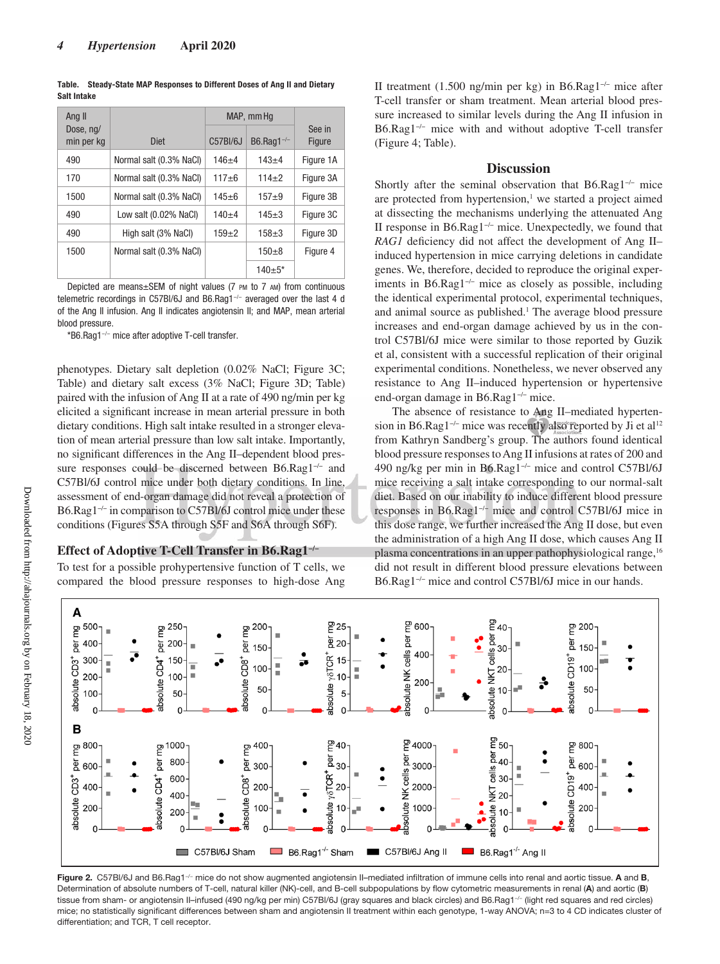**Table. Steady-State MAP Responses to Different Doses of Ang II and Dietary Salt Intake**

| Ang II<br>Dose, ng/<br>min per kg | Diet                    | C57BI/6J  | MAP, mm Hq<br>$B6.$ Rag1 <sup>-/-</sup> | See in<br>Figure |
|-----------------------------------|-------------------------|-----------|-----------------------------------------|------------------|
| 490                               | Normal salt (0.3% NaCl) | $146 + 4$ | $143 + 4$                               | Figure 1A        |
| 170                               | Normal salt (0.3% NaCl) | $117 + 6$ | $114 + 2$                               | Figure 3A        |
| 1500                              | Normal salt (0.3% NaCl) | $145 + 6$ | $157 + 9$                               | Figure 3B        |
| 490                               | Low salt (0.02% NaCl)   | $140 + 4$ | $145 + 3$                               | Figure 3C        |
| 490                               | High salt (3% NaCl)     | $159+2$   | $158 + 3$                               | Figure 3D        |
| 1500                              | Normal salt (0.3% NaCl) |           | $150 + 8$                               | Figure 4         |
|                                   |                         |           | $140+5*$                                |                  |

Depicted are means±SEM of night values (7 pm to 7 am) from continuous telemetric recordings in C57Bl/6J and B6.Rag1−/− averaged over the last 4 d of the Ang II infusion. Ang II indicates angiotensin II; and MAP, mean arterial blood pressure.

\*B6.Rag1−/− mice after adoptive T-cell transfer.

phenotypes. Dietary salt depletion (0.02% NaCl; Figure 3C; Table) and dietary salt excess (3% NaCl; Figure 3D; Table) paired with the infusion of Ang II at a rate of 490 ng/min per kg elicited a significant increase in mean arterial pressure in both dietary conditions. High salt intake resulted in a stronger elevation of mean arterial pressure than low salt intake. Importantly, no significant differences in the Ang II–dependent blood pressure responses could be discerned between B6.Rag1<sup>-/−</sup> and C57Bl/6J control mice under both dietary conditions. In line, assessment of end-organ damage did not reveal a protection of B6.Rag1<sup>-/−</sup> in comparison to C57Bl/6J control mice under these conditions (Figures S5A through S5F and S6A through S6F).

## **Effect of Adoptive T-Cell Transfer in B6.Rag1−/−**

To test for a possible prohypertensive function of T cells, we compared the blood pressure responses to high-dose Ang

II treatment (1.500 ng/min per kg) in B6.Rag1−/− mice after T-cell transfer or sham treatment. Mean arterial blood pressure increased to similar levels during the Ang II infusion in B6.Rag1−/− mice with and without adoptive T-cell transfer (Figure 4; Table).

## **Discussion**

Shortly after the seminal observation that B6.Rag1−/− mice are protected from hypertension, $<sup>1</sup>$  we started a project aimed</sup> at dissecting the mechanisms underlying the attenuated Ang II response in B6.Rag1−/− mice. Unexpectedly, we found that *RAG1* deficiency did not affect the development of Ang II– induced hypertension in mice carrying deletions in candidate genes. We, therefore, decided to reproduce the original experiments in B6.Rag1−/− mice as closely as possible, including the identical experimental protocol, experimental techniques, and animal source as published.<sup>1</sup> The average blood pressure increases and end-organ damage achieved by us in the control C57Bl/6J mice were similar to those reported by Guzik et al, consistent with a successful replication of their original experimental conditions. Nonetheless, we never observed any resistance to Ang II–induced hypertension or hypertensive end-organ damage in B6.Rag1−/− mice.

The absence of resistance to Ang II–mediated hypertension in B6.Rag1<sup>-/−</sup> mice was recently also reported by Ji et al<sup>12</sup> from Kathryn Sandberg's group. The authors found identical blood pressure responses to Ang II infusions at rates of 200 and 490 ng/kg per min in B6.Rag1−/− mice and control C57Bl/6J mice receiving a salt intake corresponding to our normal-salt diet. Based on our inability to induce different blood pressure responses in B6.Rag1−/− mice and control C57Bl/6J mice in this dose range, we further increased the Ang II dose, but even the administration of a high Ang II dose, which causes Ang II plasma concentrations in an upper pathophysiological range,<sup>16</sup> did not result in different blood pressure elevations between B6.Rag1<sup>-/−</sup> mice and control C57Bl/6J mice in our hands.



**Figure 2.** C57Bl/6J and B6.Rag1−/− mice do not show augmented angiotensin II–mediated infiltration of immune cells into renal and aortic tissue. **A** and **B**, Determination of absolute numbers of T-cell, natural killer (NK)-cell, and B-cell subpopulations by flow cytometric measurements in renal (**A**) and aortic (**B**) tissue from sham- or angiotensin II–infused (490 ng/kg per min) C57Bl/6J (gray squares and black circles) and B6.Rag1−/− (light red squares and red circles) mice; no statistically significant differences between sham and angiotensin II treatment within each genotype, 1-way ANOVA; n=3 to 4 CD indicates cluster of differentiation; and TCR, T cell receptor.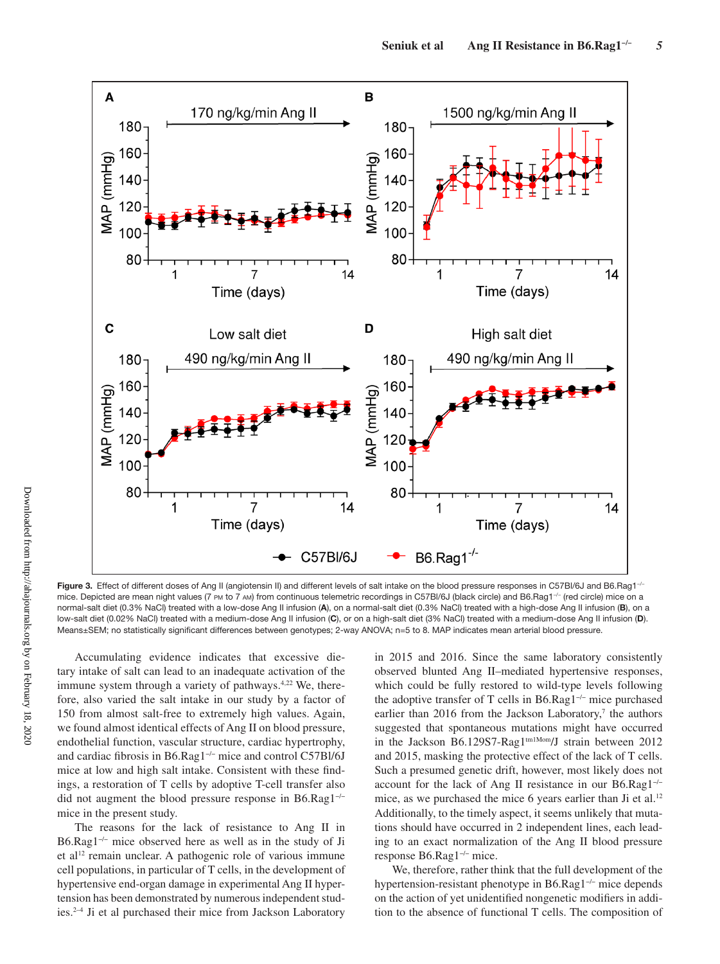

Figure 3. Effect of different doses of Ang II (angiotensin II) and different levels of salt intake on the blood pressure responses in C57Bl/6J and B6.Rag1<sup>-/</sup>mice. Depicted are mean night values (7 PM to 7 AM) from continuous telemetric recordings in C57Bl/6J (black circle) and B6.Rag1<sup>-/-</sup> (red circle) mice on a normal-salt diet (0.3% NaCl) treated with a low-dose Ang II infusion (**A**), on a normal-salt diet (0.3% NaCl) treated with a high-dose Ang II infusion (**B**), on a low-salt diet (0.02% NaCl) treated with a medium-dose Ang II infusion (**C**), or on a high-salt diet (3% NaCl) treated with a medium-dose Ang II infusion (**D**). Means±SEM; no statistically significant differences between genotypes; 2-way ANOVA; n=5 to 8. MAP indicates mean arterial blood pressure.

Accumulating evidence indicates that excessive dietary intake of salt can lead to an inadequate activation of the immune system through a variety of pathways.<sup>4,22</sup> We, therefore, also varied the salt intake in our study by a factor of 150 from almost salt-free to extremely high values. Again, we found almost identical effects of Ang II on blood pressure, endothelial function, vascular structure, cardiac hypertrophy, and cardiac fibrosis in B6.Rag1−/− mice and control C57Bl/6J mice at low and high salt intake. Consistent with these findings, a restoration of T cells by adoptive T-cell transfer also did not augment the blood pressure response in B6.Rag1−/− mice in the present study.

The reasons for the lack of resistance to Ang II in B6.Rag1−/− mice observed here as well as in the study of Ji et al<sup>12</sup> remain unclear. A pathogenic role of various immune cell populations, in particular of T cells, in the development of hypertensive end-organ damage in experimental Ang II hypertension has been demonstrated by numerous independent studies.2–4 Ji et al purchased their mice from Jackson Laboratory

in 2015 and 2016. Since the same laboratory consistently observed blunted Ang II–mediated hypertensive responses, which could be fully restored to wild-type levels following the adoptive transfer of T cells in B6.Rag1−/− mice purchased earlier than 2016 from the Jackson Laboratory,<sup>7</sup> the authors suggested that spontaneous mutations might have occurred in the Jackson B6.129S7-Rag1<sup>tm1Mom</sup>/J strain between 2012 and 2015, masking the protective effect of the lack of T cells. Such a presumed genetic drift, however, most likely does not account for the lack of Ang II resistance in our B6.Rag1−/− mice, as we purchased the mice 6 years earlier than Ji et al.<sup>12</sup> Additionally, to the timely aspect, it seems unlikely that mutations should have occurred in 2 independent lines, each leading to an exact normalization of the Ang II blood pressure response B6.Rag1−/− mice.

We, therefore, rather think that the full development of the hypertension-resistant phenotype in B6.Rag1−/− mice depends on the action of yet unidentified nongenetic modifiers in addition to the absence of functional T cells. The composition of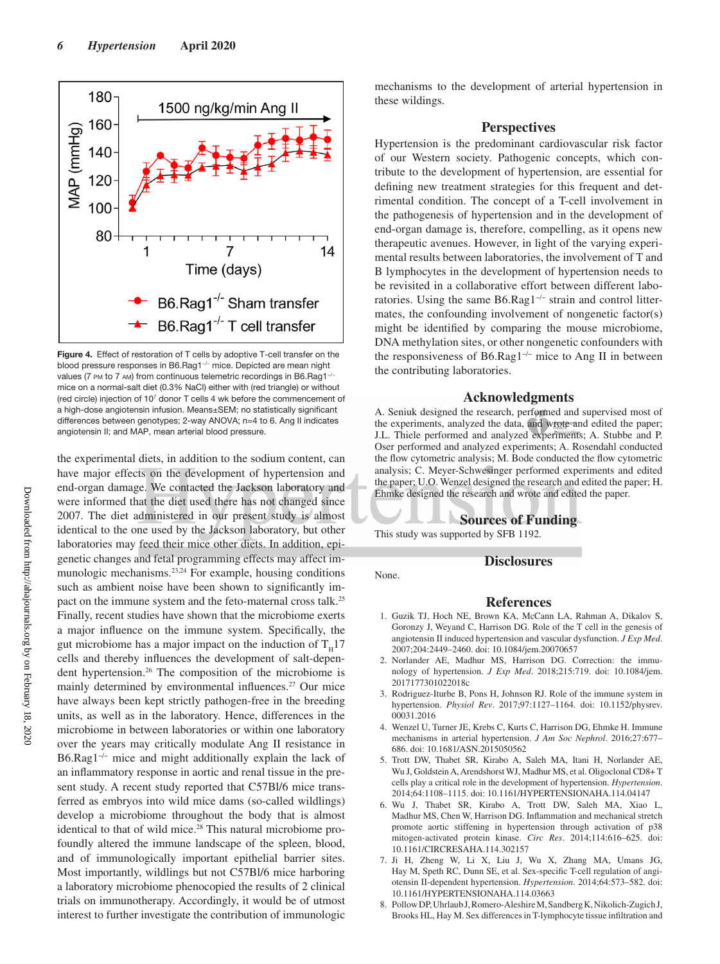

**Figure 4.** Effect of restoration of T cells by adoptive T-cell transfer on the blood pressure responses in B6.Rag1−/− mice. Depicted are mean night values (7 PM to 7 AM) from continuous telemetric recordings in B6.Rag1<sup>-/-</sup> mice on a normal-salt diet (0.3% NaCl) either with (red triangle) or without (red circle) injection of 107 donor T cells 4 wk before the commencement of a high-dose angiotensin infusion. Means±SEM; no statistically significant differences between genotypes; 2-way ANOVA; n=4 to 6. Ang II indicates angiotensin II; and MAP, mean arterial blood pressure.

the experimental diets, in addition to the sodium content, can have major effects on the development of hypertension and end-organ damage. We contacted the Jackson laboratory and were informed that the diet used there has not changed since 2007. The diet administered in our present study is almost identical to the one used by the Jackson laboratory, but other laboratories may feed their mice other diets. In addition, epigenetic changes and fetal programming effects may affect immunologic mechanisms.23,24 For example, housing conditions such as ambient noise have been shown to significantly impact on the immune system and the feto-maternal cross talk.<sup>25</sup> Finally, recent studies have shown that the microbiome exerts a major influence on the immune system. Specifically, the gut microbiome has a major impact on the induction of  $T_{\text{H}}17$ cells and thereby influences the development of salt-dependent hypertension.26 The composition of the microbiome is mainly determined by environmental influences.<sup>27</sup> Our mice have always been kept strictly pathogen-free in the breeding units, as well as in the laboratory. Hence, differences in the microbiome in between laboratories or within one laboratory over the years may critically modulate Ang II resistance in B6.Rag1<sup>-/−</sup> mice and might additionally explain the lack of an inflammatory response in aortic and renal tissue in the present study. A recent study reported that C57Bl/6 mice transferred as embryos into wild mice dams (so-called wildlings) develop a microbiome throughout the body that is almost identical to that of wild mice.<sup>28</sup> This natural microbiome profoundly altered the immune landscape of the spleen, blood, and of immunologically important epithelial barrier sites. Most importantly, wildlings but not C57Bl/6 mice harboring a laboratory microbiome phenocopied the results of 2 clinical trials on immunotherapy. Accordingly, it would be of utmost interest to further investigate the contribution of immunologic

mechanisms to the development of arterial hypertension in these wildings.

## **Perspectives**

Hypertension is the predominant cardiovascular risk factor of our Western society. Pathogenic concepts, which contribute to the development of hypertension, are essential for defining new treatment strategies for this frequent and detrimental condition. The concept of a T-cell involvement in the pathogenesis of hypertension and in the development of end-organ damage is, therefore, compelling, as it opens new therapeutic avenues. However, in light of the varying experimental results between laboratories, the involvement of T and B lymphocytes in the development of hypertension needs to be revisited in a collaborative effort between different laboratories. Using the same B6.Rag1−/− strain and control littermates, the confounding involvement of nongenetic factor(s) might be identified by comparing the mouse microbiome, DNA methylation sites, or other nongenetic confounders with the responsiveness of B6.Rag1−/− mice to Ang II in between the contributing laboratories.

## **Acknowledgments**

A. Seniuk designed the research, performed and supervised most of the experiments, analyzed the data, and wrote and edited the paper; J.L. Thiele performed and analyzed experiments; A. Stubbe and P. Oser performed and analyzed experiments; A. Rosendahl conducted the flow cytometric analysis; M. Bode conducted the flow cytometric analysis; C. Meyer-Schwesinger performed experiments and edited the paper; U.O. Wenzel designed the research and edited the paper; H. Ehmke designed the research and wrote and edited the paper.

## **Sources of Funding**

This study was supported by SFB 1192.

## **Disclosures**

None.

## **References**

- 1. Guzik TJ, Hoch NE, Brown KA, McCann LA, Rahman A, Dikalov S, Goronzy J, Weyand C, Harrison DG. Role of the T cell in the genesis of angiotensin II induced hypertension and vascular dysfunction. *J Exp Med*. 2007;204:2449–2460. doi: 10.1084/jem.20070657
- 2. Norlander AE, Madhur MS, Harrison DG. Correction: the immunology of hypertension. *J Exp Med*. 2018;215:719. doi: 10.1084/jem. 2017177301022018c
- 3. Rodriguez-Iturbe B, Pons H, Johnson RJ. Role of the immune system in hypertension. *Physiol Rev*. 2017;97:1127–1164. doi: 10.1152/physrev. 00031.2016
- 4. Wenzel U, Turner JE, Krebs C, Kurts C, Harrison DG, Ehmke H. Immune mechanisms in arterial hypertension. *J Am Soc Nephrol*. 2016;27:677– 686. doi: 10.1681/ASN.2015050562
- 5. Trott DW, Thabet SR, Kirabo A, Saleh MA, Itani H, Norlander AE, Wu J, Goldstein A, Arendshorst WJ, Madhur MS, et al. Oligoclonal CD8+ T cells play a critical role in the development of hypertension. *Hypertension*. 2014;64:1108–1115. doi: 10.1161/HYPERTENSIONAHA.114.04147
- 6. Wu J, Thabet SR, Kirabo A, Trott DW, Saleh MA, Xiao L, Madhur MS, Chen W, Harrison DG. Inflammation and mechanical stretch promote aortic stiffening in hypertension through activation of p38 mitogen-activated protein kinase. *Circ Res*. 2014;114:616–625. doi: 10.1161/CIRCRESAHA.114.302157
- 7. Ji H, Zheng W, Li X, Liu J, Wu X, Zhang MA, Umans JG, Hay M, Speth RC, Dunn SE, et al. Sex-specific T-cell regulation of angiotensin II-dependent hypertension. *Hypertension*. 2014;64:573–582. doi: 10.1161/HYPERTENSIONAHA.114.03663
- 8. Pollow DP, Uhrlaub J, Romero-Aleshire M, Sandberg K, Nikolich-Zugich J, Brooks HL, Hay M. Sex differences in T-lymphocyte tissue infiltration and